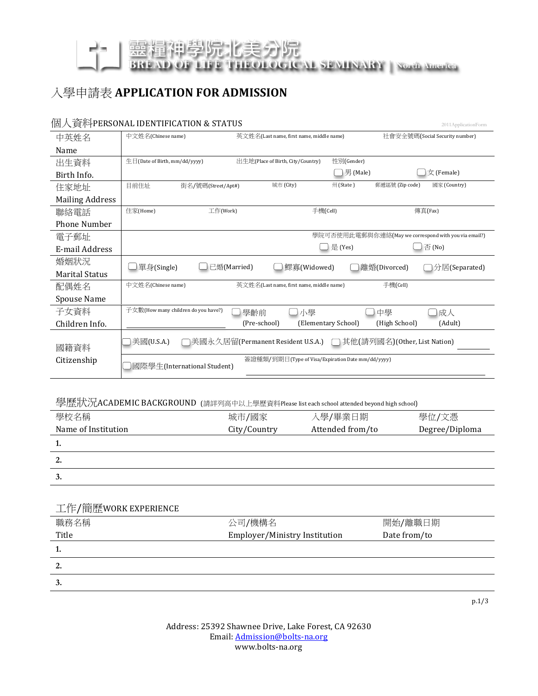【美分院 **IEOLOGICAL SEMINARY | North America BREAD** 

## 入學申請表 APPLICATION FOR ADMISSION

"学院"

### 個人資料PERSONAL'IDENTIFICATION'&'STATUS'''''''''''''''''''''''''''''''''''''''''''''''''''''''''''''''''''''''''''''''''''''''''''''''''''''''2011ApplicationForm

| 中英姓名                   | 中文姓名(Chinese name)<br>社會安全號碼(Social Security number)<br>英文姓名(Last name, first name, middle name) |  |  |  |  |
|------------------------|--------------------------------------------------------------------------------------------------|--|--|--|--|
| Name                   |                                                                                                  |  |  |  |  |
| 出生資料                   | 性別(Gender)<br>$\pm \exists$ (Date of Birth, mm/dd/yyyy)<br>出生地(Place of Birth, City/Country)     |  |  |  |  |
| Birth Info.            | 男 (Male)<br>女 (Female)                                                                           |  |  |  |  |
| 住家地址                   | 城市 (City)<br>州(State)<br>郵遞區號 (Zip code)<br>國家 (Country)<br>目前住址<br>街名/號碼(Street/Apt#)           |  |  |  |  |
| <b>Mailing Address</b> |                                                                                                  |  |  |  |  |
| 聯絡電話                   | 手機(Cell)<br>住家(Home)<br>工作(Work)<br>傳真(Fax)                                                      |  |  |  |  |
| <b>Phone Number</b>    |                                                                                                  |  |  |  |  |
| 電子郵址                   | 學院可否使用此電郵與你連絡(May we correspond with you via email?)                                             |  |  |  |  |
| E-mail Address         | 是 (Yes)<br>否 (No)                                                                                |  |  |  |  |
| 婚姻狀況                   | 已婚(Married)<br>單身(Single)<br>鰥寡(Widowed)<br>〕離婚(Divorced)<br>分居(Separated)                       |  |  |  |  |
| <b>Marital Status</b>  |                                                                                                  |  |  |  |  |
| 配偶姓名                   | 手機(Cell)<br>中文姓名(Chinese name)<br>英文姓名(Last name, first name, middle name)                       |  |  |  |  |
| Spouse Name            |                                                                                                  |  |  |  |  |
| 子女資料                   | 子女數(How many children do you have?)<br>■小學<br>學齡前<br>中學<br>コ成人                                   |  |  |  |  |
| Children Info.         | (Pre-school)<br>(Elementary School)<br>(High School)<br>(Adult)                                  |  |  |  |  |
| 國籍資料                   | 美國(U.S.A.)<br>] 其他(請列國名)(Other, List Nation)<br>]美國永久居留(Permanent Resident U.S.A.) =             |  |  |  |  |
| Citizenship            | 簽證種類/到期日(Type of Visa/Expiration Date mm/dd/yyyy)<br>國際學生(International Student)                 |  |  |  |  |

#### 學歷狀況ACADEMIC BACKGROUND (請詳列高中以上學歷資料Please list each school attended beyond high school)

| 學校名稱                | 城市/國家        | 入學/畢業日期          | 學位/文憑          |
|---------------------|--------------|------------------|----------------|
| Name of Institution | City/Country | Attended from/to | Degree/Diploma |
| ı.                  |              |                  |                |
| 2.                  |              |                  |                |
| 3.                  |              |                  |                |

| 工作/簡歷WORK EXPERIENCE |                               |              |
|----------------------|-------------------------------|--------------|
| 職務名稱                 | 公司/機構名                        | 開始/離職日期      |
| Title                | Employer/Ministry Institution | Date from/to |
| ı.                   |                               |              |
| 2.                   |                               |              |
|                      |                               |              |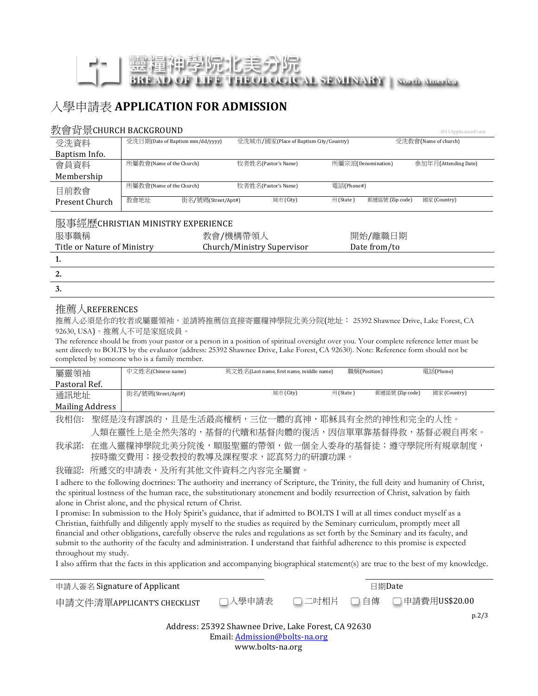# AL SENINARY North America

## 入學申請表 APPLICATION FOR ADMISSION

#### 数會背昬CHURCH BACKGROUND

| $\frac{1}{2}$ $\frac{1}{2}$ $\frac{1}{2}$ $\frac{1}{2}$ $\frac{1}{2}$ $\frac{1}{2}$ $\frac{1}{2}$ $\frac{1}{2}$ $\frac{1}{2}$ $\frac{1}{2}$ $\frac{1}{2}$ $\frac{1}{2}$ $\frac{1}{2}$ $\frac{1}{2}$ $\frac{1}{2}$ $\frac{1}{2}$ $\frac{1}{2}$ $\frac{1}{2}$ $\frac{1}{2}$ $\frac{1}{2}$ $\frac{1}{2}$ $\frac{1}{2}$ |                                   |                                        |                                          |                      |
|---------------------------------------------------------------------------------------------------------------------------------------------------------------------------------------------------------------------------------------------------------------------------------------------------------------------|-----------------------------------|----------------------------------------|------------------------------------------|----------------------|
| 受洗資料                                                                                                                                                                                                                                                                                                                | 受洗日期(Date of Baptism mm/dd/yyyy)  | 受洗城市/國家(Place of Baptism City/Country) |                                          | 受洗教會(Name of church) |
| Baptism Info.                                                                                                                                                                                                                                                                                                       |                                   |                                        |                                          |                      |
| 會員資料                                                                                                                                                                                                                                                                                                                | 所屬教會(Name of the Church)          | 牧者姓名(Pastor's Name)                    | 所屬宗派(Denomination)                       | 參加年月(Attending Date) |
| Membership                                                                                                                                                                                                                                                                                                          |                                   |                                        |                                          |                      |
| 目前教會                                                                                                                                                                                                                                                                                                                | 所屬教會(Name of the Church)          | 牧者姓名(Pastor's Name)                    | 電話(Phone#)                               |                      |
| Present Church                                                                                                                                                                                                                                                                                                      | 教會地址<br>街名/號碼(Street/Apt#)        | 城市 (City)                              | 郵遞區號 (Zip code)<br>$\mathcal{M}$ (State) | 國家 (Country)         |
|                                                                                                                                                                                                                                                                                                                     | 服事經歷CHRISTIAN MINISTRY EXPERIENCE |                                        |                                          |                      |
| 服事職稱                                                                                                                                                                                                                                                                                                                |                                   | 教會/機構帶領人                               | 開始/離職日期                                  |                      |
| Title or Nature of Ministry                                                                                                                                                                                                                                                                                         |                                   | Church/Ministry Supervisor             | Date from/to                             |                      |
| 1.                                                                                                                                                                                                                                                                                                                  |                                   |                                        |                                          |                      |
| 2.                                                                                                                                                                                                                                                                                                                  |                                   |                                        |                                          |                      |
| 3.                                                                                                                                                                                                                                                                                                                  |                                   |                                        |                                          |                      |

#### 推薦人REFERENCES

推薦人必須是你的牧者或屬靈領袖,並請將推薦信直接寄靈糧神學院北美分院(地址: 25392 Shawnee Drive, Lake Forest, CA 92630, USA)。推薦人不可是家庭成員。

The reference should be from your pastor or a person in a position of spiritual oversight over you. Your complete reference letter must be sent directly to BOLTS by the evaluator (address: 25392 Shawnee Drive, Lake Forest, CA 92630). Note: Reference form should not be completed by someone who is a family member.

| 屬靈領袖            | 中文姓名(Chinese name) | 英文姓名(Last name, first name, middle name) | 職稱(Position) |                 | 電話(Phone)    |  |
|-----------------|--------------------|------------------------------------------|--------------|-----------------|--------------|--|
| Pastoral Ref.   |                    |                                          |              |                 |              |  |
| 通訊地址            | 街名/號碼(Street/Apt#) | 城市 (City)                                | 州 (State ˈ   | 郵遞區號 (Zip code) | 國家 (Country) |  |
| Mailing Address |                    |                                          |              |                 |              |  |

我相信: 聖經是沒有謬誤的,且是生活最高權柄,三位一體的真神,耶穌具有全然的神性和完全的人性。 人類在靈性上是全然失落的,基督的代贖和基督肉體的復活,因信單單靠基督得救,基督必親自再來。

我承諾: 在進入靈糧神學院北美分院後,順服聖靈的帶領,做一個全人委身的基督徒;遵守學院所有規章制度, 按時繳交費用;接受教授的教導及課程要求,認真努力的研讀功課。

我確認: 所遞交的申請表,及所有其他文件資料之內容完全屬實。

I adhere to the following doctrines: The authority and inerrancy of Scripture, the Trinity, the full deity and humanity of Christ, the spiritual lostness of the human race, the substitutionary atonement and bodily resurrection of Christ, salvation by faith alone in Christ alone, and the physical return of Christ.

I promise: In submission to the Holy Spirit's guidance, that if admitted to BOLTS I will at all times conduct myself as a Christian, faithfully and diligently apply myself to the studies as required by the Seminary curriculum, promptly meet all financial and other obligations, carefully observe the rules and regulations as set forth by the Seminary and its faculty, and submit to the authority of the faculty and administration. I understand that faithful adherence to this promise is expected throughout my study.

I also affirm that the facts in this application and accompanying biographical statement(s) are true to the best of my knowledge.

| 申請人簽名 Signature of Applicant                        |        |  | 日期Date |                             |  |
|-----------------------------------------------------|--------|--|--------|-----------------------------|--|
| 申請文件清單APPLICANT'S CHECKLIST                         | □入學申請表 |  |        | □ 二吋相片 □ 自傳 □ 申請費用US\$20.00 |  |
|                                                     |        |  |        | p.2/3                       |  |
| Address: 25392 Shawnee Drive, Lake Forest, CA 92630 |        |  |        |                             |  |
| Email: Admission@bolts-na.org                       |        |  |        |                             |  |
| www.bolts-na.org                                    |        |  |        |                             |  |